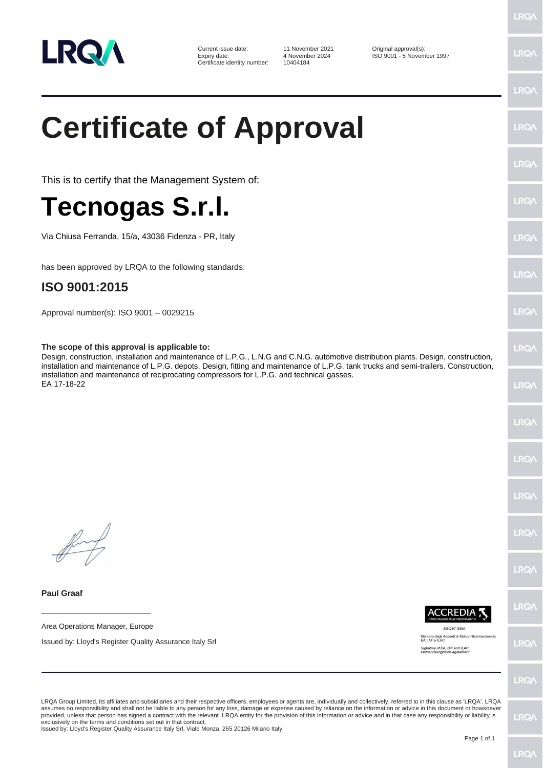

Current issue date: 11 November 2021 Original approval(s):<br>
Expiry date: 4 November 2024 ISO 9001 - 5 Novem Certificate identity number:

Expiry date: 4 November 2024 ISO 9001 - 5 November 1997

**LRQA** 

**LRQ/** 

LRQ/

**LRO/** 

LRQ.

LRQ/

**LRQ/** 

**LRQ/** 

LRQ/

LRQ/

LRQ/

LRQ/

LRQ/

LRQ/

LRQ/

LRQ/

**LRQ/** 

# **Certificate of Approval**

This is to certify that the Management System of:

## **Tecnogas S.r.l.**

Via Chiusa Ferranda, 15/a, 43036 Fidenza - PR, Italy

has been approved by LRQA to the following standards:

### **ISO 9001:2015**

Approval number(s): ISO 9001 – 0029215

#### **The scope of this approval is applicable to:**

Design, construction, installation and maintenance of L.P.G., L.N.G and C.N.G. automotive distribution plants. Design, construction, installation and maintenance of L.P.G. depots. Design, fitting and maintenance of L.P.G. tank trucks and semi-trailers. Construction, installation and maintenance of reciprocating compressors for L.P.G. and technical gasses. EA 17-18-22

**Paul Graaf**

Area Operations Manager, Europe

**\_\_\_\_\_\_\_\_\_\_\_\_\_\_\_\_\_\_\_\_\_\_\_\_**

Issued by: Lloyd's Register Quality Assurance Italy Srl

**CCREDIA** SGQ N° 039A

Membro degli Accordi di Mutuo Ricono<br>EA, IAF e ILAC

Signatory of EA, IAF and ILAC<br>Mutual Recognition Agreement

LRQ/

LRQA Group Limited, its affiliates and subsidiaries and their respective officers, employees or agents are, individually and collectively, referred to in this clause as 'LRQA'. LRQA assumes no responsibility and shall not be liable to any person for any loss, damage or expense caused by reliance on the information or advice in this document or howsoever provided, unless that person has signed a contract with the relevant LRQA entity for the provision of this information or advice and in that case any responsibility or liability is<br>exclusively on the terms and conditions s

Issued by: Lloyd's Register Quality Assurance Italy Srl, Viale Monza, 265 20126 Milano Italy

LRQ/